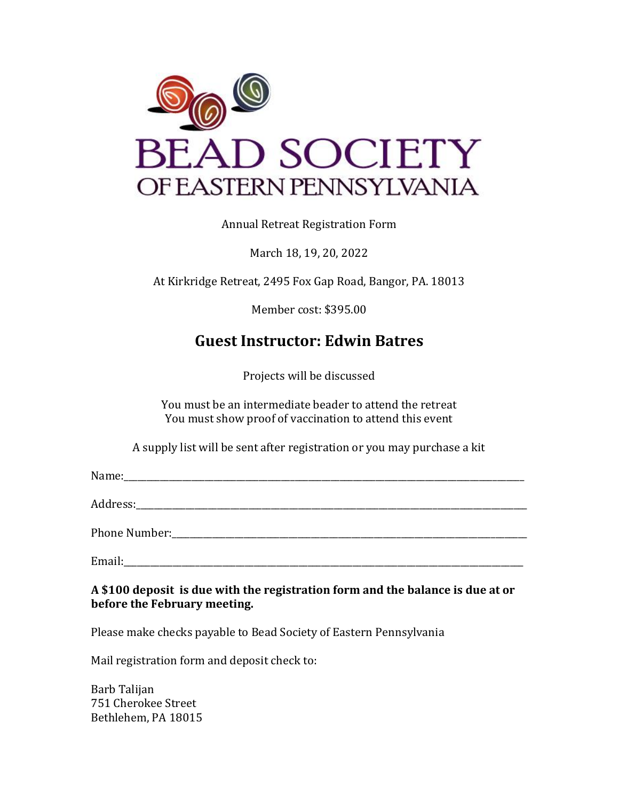

Annual Retreat Registration Form

March 18, 19, 20, 2022

At Kirkridge Retreat, 2495 Fox Gap Road, Bangor, PA. 18013

Member cost: \$395.00

## **Guest Instructor: Edwin Batres**

Projects will be discussed

You must be an intermediate beader to attend the retreat You must show proof of vaccination to attend this event

A supply list will be sent after registration or you may purchase a kit

Name:\_\_\_\_\_\_\_\_\_\_\_\_\_\_\_\_\_\_\_\_\_\_\_\_\_\_\_\_\_\_\_\_\_\_\_\_\_\_\_\_\_\_\_\_\_\_\_\_\_\_\_\_\_\_\_\_\_\_\_\_\_\_\_\_\_\_\_\_\_\_\_\_\_\_\_\_\_\_\_\_\_\_\_\_\_\_\_\_\_

Address:\_\_\_\_\_\_\_\_\_\_\_\_\_\_\_\_\_\_\_\_\_\_\_\_\_\_\_\_\_\_\_\_\_\_\_\_\_\_\_\_\_\_\_\_\_\_\_\_\_\_\_\_\_\_\_\_\_\_\_\_\_\_\_\_\_\_\_\_\_\_\_\_\_\_\_\_\_\_\_\_\_\_\_\_\_\_\_

Phone Number:\_\_\_\_\_\_\_\_\_\_\_\_\_\_\_\_\_\_\_\_\_\_\_\_\_\_\_\_\_\_\_\_\_\_\_\_\_\_\_\_\_\_\_\_\_\_\_\_\_\_\_\_\_\_\_\_\_\_\_\_\_\_\_\_\_\_\_\_\_\_\_\_\_\_\_\_\_\_\_

Email:

**A \$100 deposit is due with the registration form and the balance is due at or before the February meeting.**

Please make checks payable to Bead Society of Eastern Pennsylvania

Mail registration form and deposit check to:

Barb Talijan 751 Cherokee Street Bethlehem, PA 18015